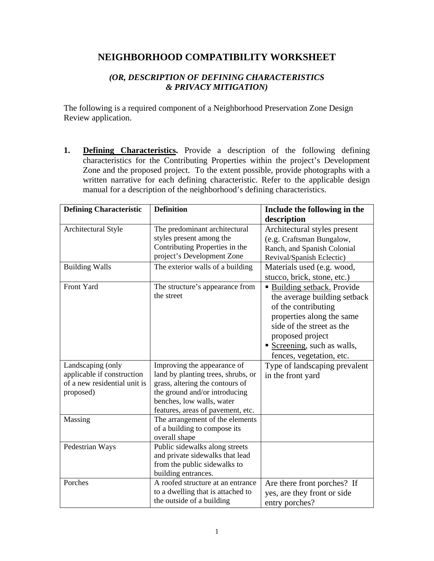## **NEIGHBORHOOD COMPATIBILITY WORKSHEET**

## *(OR, DESCRIPTION OF DEFINING CHARACTERISTICS & PRIVACY MITIGATION)*

The following is a required component of a Neighborhood Preservation Zone Design Review application.

**1. Defining Characteristics.** Provide a description of the following defining characteristics for the Contributing Properties within the project's Development Zone and the proposed project. To the extent possible, provide photographs with a written narrative for each defining characteristic. Refer to the applicable design manual for a description of the neighborhood's defining characteristics.

| <b>Defining Characteristic</b> | <b>Definition</b>                                                                                                         | Include the following in the<br>description                                                                                                                                                                               |
|--------------------------------|---------------------------------------------------------------------------------------------------------------------------|---------------------------------------------------------------------------------------------------------------------------------------------------------------------------------------------------------------------------|
| Architectural Style            | The predominant architectural<br>styles present among the<br>Contributing Properties in the<br>project's Development Zone | Architectural styles present<br>(e.g. Craftsman Bungalow,<br>Ranch, and Spanish Colonial<br>Revival/Spanish Eclectic)                                                                                                     |
| <b>Building Walls</b>          | The exterior walls of a building                                                                                          | Materials used (e.g. wood,<br>stucco, brick, stone, etc.)                                                                                                                                                                 |
| Front Yard                     | The structure's appearance from<br>the street                                                                             | • Building setback. Provide<br>the average building setback<br>of the contributing<br>properties along the same<br>side of the street as the<br>proposed project<br>Screening, such as walls,<br>fences, vegetation, etc. |
| Landscaping (only              | Improving the appearance of                                                                                               | Type of landscaping prevalent                                                                                                                                                                                             |
| applicable if construction     | land by planting trees, shrubs, or                                                                                        | in the front yard                                                                                                                                                                                                         |
| of a new residential unit is   | grass, altering the contours of                                                                                           |                                                                                                                                                                                                                           |
| proposed)                      | the ground and/or introducing                                                                                             |                                                                                                                                                                                                                           |
|                                | benches, low walls, water                                                                                                 |                                                                                                                                                                                                                           |
|                                | features, areas of pavement, etc.                                                                                         |                                                                                                                                                                                                                           |
| Massing                        | The arrangement of the elements<br>of a building to compose its<br>overall shape                                          |                                                                                                                                                                                                                           |
| Pedestrian Ways                | Public sidewalks along streets<br>and private sidewalks that lead<br>from the public sidewalks to<br>building entrances.  |                                                                                                                                                                                                                           |
| Porches                        | A roofed structure at an entrance<br>to a dwelling that is attached to<br>the outside of a building                       | Are there front porches? If<br>yes, are they front or side<br>entry porches?                                                                                                                                              |